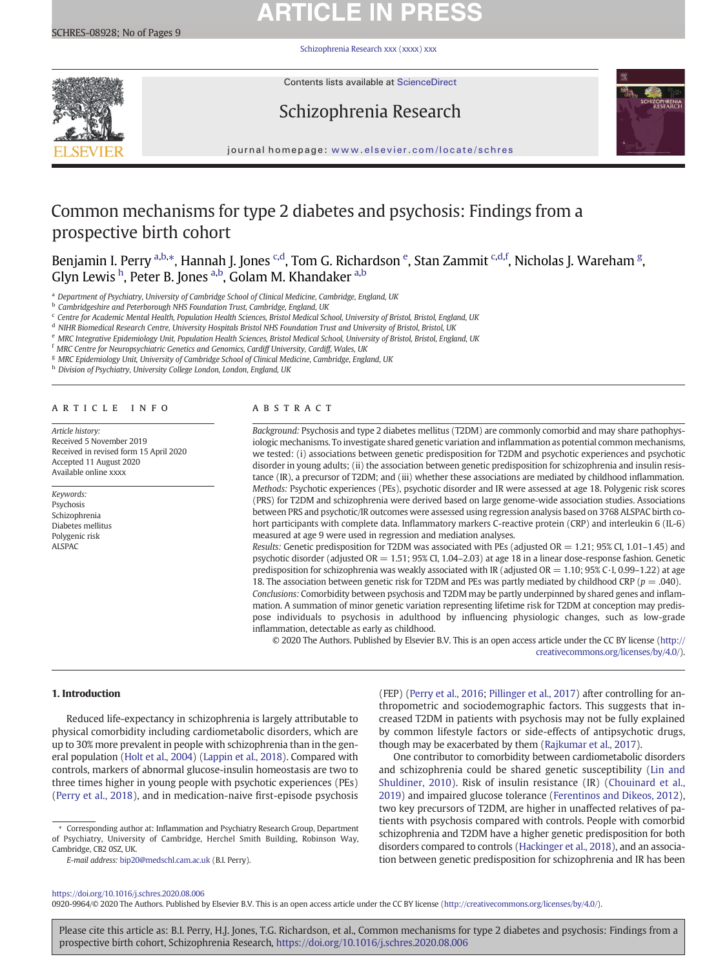# **ARTICLE IN PRESS**

[Schizophrenia Research xxx \(xxxx\) xxx](https://doi.org/10.1016/j.schres.2020.08.006)



Contents lists available at ScienceDirect

# Schizophrenia Research



journal homepage: <www.elsevier.com/locate/schres>

# Common mechanisms for type 2 diabetes and psychosis: Findings from a prospective birth cohort

Benjamin I. Perry <sup>a,b,</sup>\*, Hannah J. Jones <sup>c,d</sup>, Tom G. Richardson <sup>e</sup>, Stan Zammit <sup>c,d,f</sup>, Nicholas J. Wareham <sup>g</sup>, Glyn Lewis <sup>h</sup>, Peter B. Jones <sup>a,b</sup>, Golam M. Khandaker <sup>a,b</sup>

<sup>a</sup> Department of Psychiatry, University of Cambridge School of Clinical Medicine, Cambridge, England, UK

<sup>b</sup> Cambridgeshire and Peterborough NHS Foundation Trust, Cambridge, England, UK

 $c$  Centre for Academic Mental Health, Population Health Sciences, Bristol Medical School, University of Bristol, Bristol, England, UK

<sup>d</sup> NIHR Biomedical Research Centre, University Hospitals Bristol NHS Foundation Trust and University of Bristol, Bristol, UK

<sup>e</sup> MRC Integrative Epidemiology Unit, Population Health Sciences, Bristol Medical School, University of Bristol, Bristol, England, UK

<sup>f</sup> MRC Centre for Neuropsychiatric Genetics and Genomics, Cardiff University, Cardiff, Wales, UK

<sup>g</sup> MRC Epidemiology Unit, University of Cambridge School of Clinical Medicine, Cambridge, England, UK

h Division of Psychiatry, University College London, London, England, UK

### article info abstract

Article history: Received 5 November 2019 Received in revised form 15 April 2020 Accepted 11 August 2020 Available online xxxx

### Keywords: Psychosis Schizophrenia Diabetes mellitus Polygenic risk ALSPA $C$

Background: Psychosis and type 2 diabetes mellitus (T2DM) are commonly comorbid and may share pathophysiologic mechanisms. To investigate shared genetic variation and inflammation as potential common mechanisms, we tested: (i) associations between genetic predisposition for T2DM and psychotic experiences and psychotic disorder in young adults; (ii) the association between genetic predisposition for schizophrenia and insulin resistance (IR), a precursor of T2DM; and (iii) whether these associations are mediated by childhood inflammation. Methods: Psychotic experiences (PEs), psychotic disorder and IR were assessed at age 18. Polygenic risk scores (PRS) for T2DM and schizophrenia were derived based on large genome-wide association studies. Associations between PRS and psychotic/IR outcomes were assessed using regression analysis based on 3768 ALSPAC birth cohort participants with complete data. Inflammatory markers C-reactive protein (CRP) and interleukin 6 (IL-6) measured at age 9 were used in regression and mediation analyses.

Results: Genetic predisposition for T2DM was associated with PEs (adjusted  $OR = 1.21$ ; 95% CI, 1.01-1.45) and psychotic disorder (adjusted  $OR = 1.51$ ; 95% CI, 1.04–2.03) at age 18 in a linear dose-response fashion. Genetic predisposition for schizophrenia was weakly associated with IR (adjusted OR = 1.10; 95% C·I, 0.99–1.22) at age 18. The association between genetic risk for T2DM and PEs was partly mediated by childhood CRP ( $p = .040$ ). Conclusions: Comorbidity between psychosis and T2DM may be partly underpinned by shared genes and inflammation. A summation of minor genetic variation representing lifetime risk for T2DM at conception may predispose individuals to psychosis in adulthood by influencing physiologic changes, such as low-grade inflammation, detectable as early as childhood.

© 2020 The Authors. Published by Elsevier B.V. This is an open access article under the CC BY license [\(http://](http://creativecommons.org/licenses/by/4.0/) [creativecommons.org/licenses/by/4.0/\)](http://creativecommons.org/licenses/by/4.0/).

### 1. Introduction

Reduced life-expectancy in schizophrenia is largely attributable to physical comorbidity including cardiometabolic disorders, which are up to 30% more prevalent in people with schizophrenia than in the general population [\(Holt et al., 2004\)](#page-6-0) ([Lappin et al., 2018](#page-7-0)). Compared with controls, markers of abnormal glucose-insulin homeostasis are two to three times higher in young people with psychotic experiences (PEs) [\(Perry et al., 2018\)](#page-7-0), and in medication-naive first-episode psychosis

⁎ Corresponding author at: Inflammation and Psychiatry Research Group, Department of Psychiatry, University of Cambridge, Herchel Smith Building, Robinson Way, Cambridge, CB2 0SZ, UK.

E-mail address: [bip20@medschl.cam.ac.uk](mailto:bip20@medschl.cam.ac.uk) (B.I. Perry).

(FEP) ([Perry et al., 2016](#page-7-0); [Pillinger et al., 2017\)](#page-7-0) after controlling for anthropometric and sociodemographic factors. This suggests that increased T2DM in patients with psychosis may not be fully explained by common lifestyle factors or side-effects of antipsychotic drugs, though may be exacerbated by them [\(Rajkumar et al., 2017](#page-7-0)).

One contributor to comorbidity between cardiometabolic disorders and schizophrenia could be shared genetic susceptibility [\(Lin and](#page-7-0) [Shuldiner, 2010](#page-7-0)). Risk of insulin resistance (IR) ([Chouinard et al.,](#page-6-0) [2019\)](#page-6-0) and impaired glucose tolerance ([Ferentinos and Dikeos, 2012](#page-6-0)), two key precursors of T2DM, are higher in unaffected relatives of patients with psychosis compared with controls. People with comorbid schizophrenia and T2DM have a higher genetic predisposition for both disorders compared to controls [\(Hackinger et al., 2018\)](#page-6-0), and an association between genetic predisposition for schizophrenia and IR has been

## <https://doi.org/10.1016/j.schres.2020.08.006>

0920-9964/© 2020 The Authors. Published by Elsevier B.V. This is an open access article under the CC BY license [\(http://creativecommons.org/licenses/by/4.0/](http://creativecommons.org/licenses/by/4.0/)).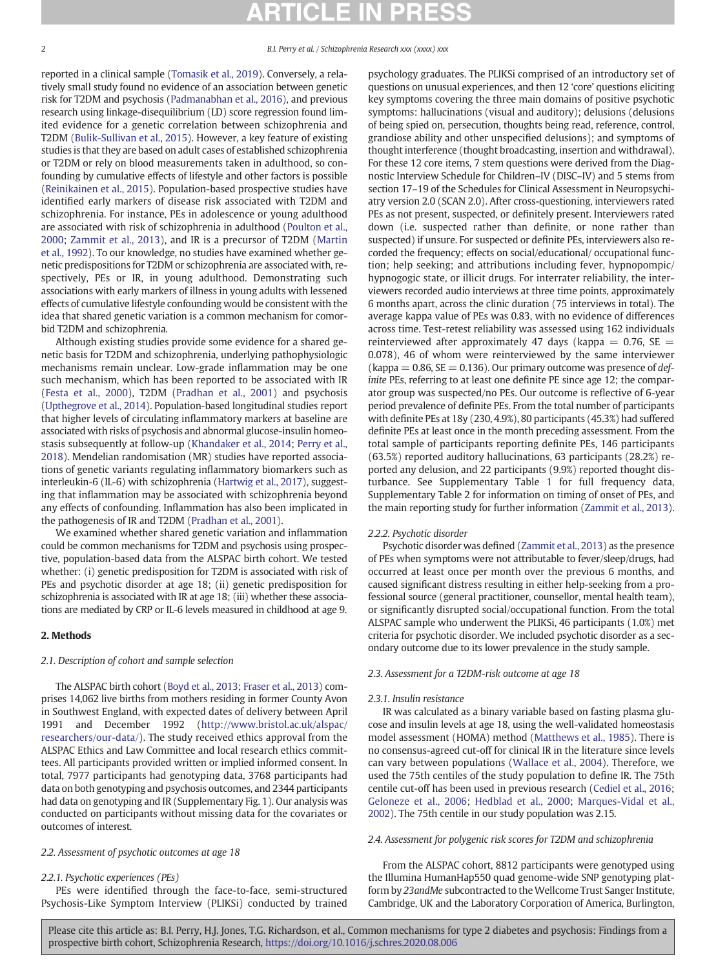reported in a clinical sample ([Tomasik et al., 2019\)](#page-7-0). Conversely, a relatively small study found no evidence of an association between genetic risk for T2DM and psychosis ([Padmanabhan et al., 2016](#page-7-0)), and previous research using linkage-disequilibrium (LD) score regression found limited evidence for a genetic correlation between schizophrenia and T2DM [\(Bulik-Sullivan et al., 2015\)](#page-6-0). However, a key feature of existing studies is that they are based on adult cases of established schizophrenia or T2DM or rely on blood measurements taken in adulthood, so confounding by cumulative effects of lifestyle and other factors is possible [\(Reinikainen et al., 2015](#page-7-0)). Population-based prospective studies have identified early markers of disease risk associated with T2DM and schizophrenia. For instance, PEs in adolescence or young adulthood are associated with risk of schizophrenia in adulthood [\(Poulton et al.,](#page-7-0) [2000](#page-7-0); [Zammit et al., 2013](#page-8-0)), and IR is a precursor of T2DM ([Martin](#page-7-0) [et al., 1992](#page-7-0)). To our knowledge, no studies have examined whether genetic predispositions for T2DM or schizophrenia are associated with, respectively, PEs or IR, in young adulthood. Demonstrating such associations with early markers of illness in young adults with lessened effects of cumulative lifestyle confounding would be consistent with the idea that shared genetic variation is a common mechanism for comorbid T2DM and schizophrenia.

Although existing studies provide some evidence for a shared genetic basis for T2DM and schizophrenia, underlying pathophysiologic mechanisms remain unclear. Low-grade inflammation may be one such mechanism, which has been reported to be associated with IR [\(Festa et al., 2000\)](#page-6-0), T2DM ([Pradhan et al., 2001\)](#page-7-0) and psychosis [\(Upthegrove et al., 2014](#page-8-0)). Population-based longitudinal studies report that higher levels of circulating inflammatory markers at baseline are associated with risks of psychosis and abnormal glucose-insulin homeostasis subsequently at follow-up [\(Khandaker et al., 2014;](#page-7-0) [Perry et al.,](#page-7-0) [2018\)](#page-7-0). Mendelian randomisation (MR) studies have reported associations of genetic variants regulating inflammatory biomarkers such as interleukin-6 (IL-6) with schizophrenia [\(Hartwig et al., 2017\)](#page-6-0), suggesting that inflammation may be associated with schizophrenia beyond any effects of confounding. Inflammation has also been implicated in the pathogenesis of IR and T2DM ([Pradhan et al., 2001\)](#page-7-0).

We examined whether shared genetic variation and inflammation could be common mechanisms for T2DM and psychosis using prospective, population-based data from the ALSPAC birth cohort. We tested whether: (i) genetic predisposition for T2DM is associated with risk of PEs and psychotic disorder at age 18; (ii) genetic predisposition for schizophrenia is associated with IR at age 18; (iii) whether these associations are mediated by CRP or IL-6 levels measured in childhood at age 9.

# 2. Methods

## 2.1. Description of cohort and sample selection

The ALSPAC birth cohort [\(Boyd et al., 2013](#page-6-0); [Fraser et al., 2013](#page-6-0)) comprises 14,062 live births from mothers residing in former County Avon in Southwest England, with expected dates of delivery between April 1991 and December 1992 ([http://www.bristol.ac.uk/alspac/](http://www.bristol.ac.uk/alspac/researchers/our-data/) [researchers/our-data/\)](http://www.bristol.ac.uk/alspac/researchers/our-data/). The study received ethics approval from the ALSPAC Ethics and Law Committee and local research ethics committees. All participants provided written or implied informed consent. In total, 7977 participants had genotyping data, 3768 participants had data on both genotyping and psychosis outcomes, and 2344 participants had data on genotyping and IR (Supplementary Fig. 1). Our analysis was conducted on participants without missing data for the covariates or outcomes of interest.

# 2.2. Assessment of psychotic outcomes at age 18

### 2.2.1. Psychotic experiences (PEs)

PEs were identified through the face-to-face, semi-structured Psychosis-Like Symptom Interview (PLIKSi) conducted by trained psychology graduates. The PLIKSi comprised of an introductory set of questions on unusual experiences, and then 12 'core' questions eliciting key symptoms covering the three main domains of positive psychotic symptoms: hallucinations (visual and auditory); delusions (delusions of being spied on, persecution, thoughts being read, reference, control, grandiose ability and other unspecified delusions); and symptoms of thought interference (thought broadcasting, insertion and withdrawal). For these 12 core items, 7 stem questions were derived from the Diagnostic Interview Schedule for Children–IV (DISC–IV) and 5 stems from section 17–19 of the Schedules for Clinical Assessment in Neuropsychiatry version 2.0 (SCAN 2.0). After cross-questioning, interviewers rated PEs as not present, suspected, or definitely present. Interviewers rated down (i.e. suspected rather than definite, or none rather than suspected) if unsure. For suspected or definite PEs, interviewers also recorded the frequency; effects on social/educational/ occupational function; help seeking; and attributions including fever, hypnopompic/ hypnogogic state, or illicit drugs. For interrater reliability, the interviewers recorded audio interviews at three time points, approximately 6 months apart, across the clinic duration (75 interviews in total). The average kappa value of PEs was 0.83, with no evidence of differences across time. Test-retest reliability was assessed using 162 individuals reinterviewed after approximately 47 days (kappa  $= 0.76$ , SE  $=$ 0.078), 46 of whom were reinterviewed by the same interviewer (kappa  $= 0.86$ , SE  $= 0.136$ ). Our primary outcome was presence of definite PEs, referring to at least one definite PE since age 12; the comparator group was suspected/no PEs. Our outcome is reflective of 6-year period prevalence of definite PEs. From the total number of participants with definite PEs at 18y (230, 4.9%), 80 participants (45.3%) had suffered definite PEs at least once in the month preceding assessment. From the total sample of participants reporting definite PEs, 146 participants (63.5%) reported auditory hallucinations, 63 participants (28.2%) reported any delusion, and 22 participants (9.9%) reported thought disturbance. See Supplementary Table 1 for full frequency data, Supplementary Table 2 for information on timing of onset of PEs, and the main reporting study for further information [\(Zammit et al., 2013\)](#page-8-0).

# 2.2.2. Psychotic disorder

Psychotic disorder was defined [\(Zammit et al., 2013](#page-8-0)) as the presence of PEs when symptoms were not attributable to fever/sleep/drugs, had occurred at least once per month over the previous 6 months, and caused significant distress resulting in either help-seeking from a professional source (general practitioner, counsellor, mental health team), or significantly disrupted social/occupational function. From the total ALSPAC sample who underwent the PLIKSi, 46 participants (1.0%) met criteria for psychotic disorder. We included psychotic disorder as a secondary outcome due to its lower prevalence in the study sample.

## 2.3. Assessment for a T2DM-risk outcome at age 18

### 2.3.1. Insulin resistance

IR was calculated as a binary variable based on fasting plasma glucose and insulin levels at age 18, using the well-validated homeostasis model assessment (HOMA) method ([Matthews et al., 1985](#page-7-0)). There is no consensus-agreed cut-off for clinical IR in the literature since levels can vary between populations [\(Wallace et al., 2004\)](#page-8-0). Therefore, we used the 75th centiles of the study population to define IR. The 75th centile cut-off has been used in previous research [\(Cediel et al., 2016](#page-6-0); [Geloneze et al., 2006;](#page-6-0) [Hedblad et al., 2000](#page-6-0); [Marques-Vidal et al.,](#page-7-0) [2002\)](#page-7-0). The 75th centile in our study population was 2.15.

# 2.4. Assessment for polygenic risk scores for T2DM and schizophrenia

From the ALSPAC cohort, 8812 participants were genotyped using the Illumina HumanHap550 quad genome-wide SNP genotyping platform by 23andMe subcontracted to the Wellcome Trust Sanger Institute, Cambridge, UK and the Laboratory Corporation of America, Burlington,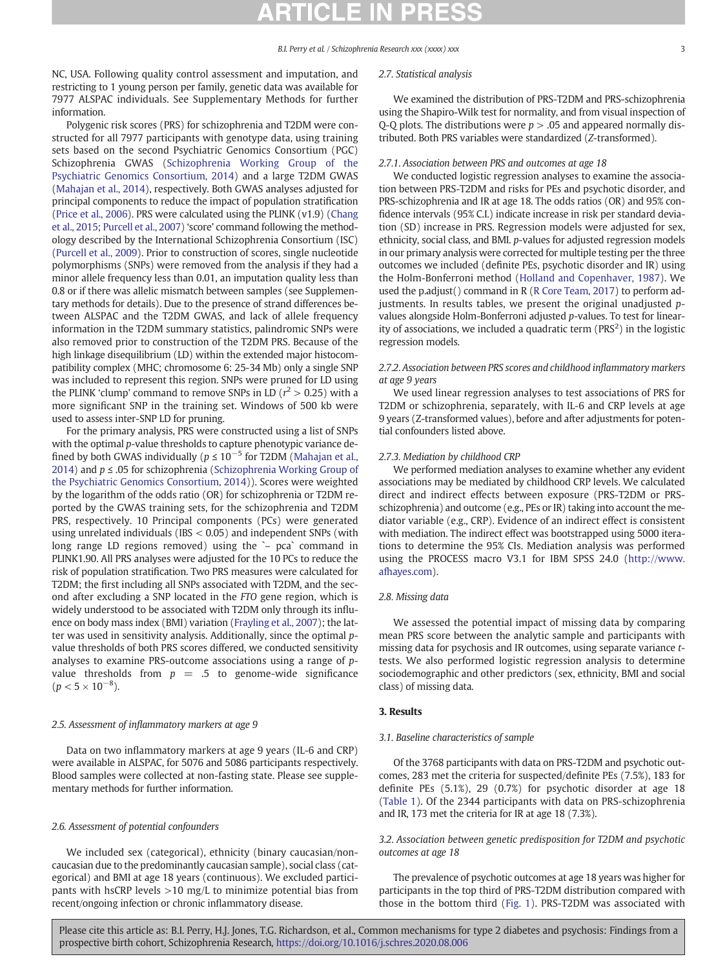NC, USA. Following quality control assessment and imputation, and restricting to 1 young person per family, genetic data was available for 7977 ALSPAC individuals. See Supplementary Methods for further information.

Polygenic risk scores (PRS) for schizophrenia and T2DM were constructed for all 7977 participants with genotype data, using training sets based on the second Psychiatric Genomics Consortium (PGC) Schizophrenia GWAS ([Schizophrenia Working Group of the](#page-7-0) [Psychiatric Genomics Consortium, 2014\)](#page-7-0) and a large T2DM GWAS [\(Mahajan et al., 2014\)](#page-7-0), respectively. Both GWAS analyses adjusted for principal components to reduce the impact of population stratification [\(Price et al., 2006](#page-7-0)). PRS were calculated using the PLINK (v1.9) [\(Chang](#page-6-0) [et al., 2015](#page-6-0); [Purcell et al., 2007](#page-7-0)) 'score' command following the methodology described by the International Schizophrenia Consortium (ISC) [\(Purcell et al., 2009](#page-7-0)). Prior to construction of scores, single nucleotide polymorphisms (SNPs) were removed from the analysis if they had a minor allele frequency less than 0.01, an imputation quality less than 0.8 or if there was allelic mismatch between samples (see Supplementary methods for details). Due to the presence of strand differences between ALSPAC and the T2DM GWAS, and lack of allele frequency information in the T2DM summary statistics, palindromic SNPs were also removed prior to construction of the T2DM PRS. Because of the high linkage disequilibrium (LD) within the extended major histocompatibility complex (MHC; chromosome 6: 25-34 Mb) only a single SNP was included to represent this region. SNPs were pruned for LD using the PLINK 'clump' command to remove SNPs in LD ( $r^2 > 0.25$ ) with a more significant SNP in the training set. Windows of 500 kb were used to assess inter-SNP LD for pruning.

For the primary analysis, PRS were constructed using a list of SNPs with the optimal p-value thresholds to capture phenotypic variance defined by both GWAS individually ( $p$  ≤ 10<sup>-5</sup> for T2DM ([Mahajan et al.,](#page-7-0) [2014](#page-7-0)) and  $p \leq 0.05$  for schizophrenia ([Schizophrenia Working Group of](#page-7-0) [the Psychiatric Genomics Consortium, 2014\)](#page-7-0)). Scores were weighted by the logarithm of the odds ratio (OR) for schizophrenia or T2DM reported by the GWAS training sets, for the schizophrenia and T2DM PRS, respectively. 10 Principal components (PCs) were generated using unrelated individuals (IBS < 0.05) and independent SNPs (with long range LD regions removed) using the `– pca` command in PLINK1.90. All PRS analyses were adjusted for the 10 PCs to reduce the risk of population stratification. Two PRS measures were calculated for T2DM; the first including all SNPs associated with T2DM, and the second after excluding a SNP located in the FTO gene region, which is widely understood to be associated with T2DM only through its influence on body mass index (BMI) variation [\(Frayling et al., 2007](#page-6-0)); the latter was used in sensitivity analysis. Additionally, since the optimal pvalue thresholds of both PRS scores differed, we conducted sensitivity analyses to examine PRS-outcome associations using a range of pvalue thresholds from  $p = .5$  to genome-wide significance  $(p < 5 \times 10^{-8}).$ 

# 2.5. Assessment of inflammatory markers at age 9

Data on two inflammatory markers at age 9 years (IL-6 and CRP) were available in ALSPAC, for 5076 and 5086 participants respectively. Blood samples were collected at non-fasting state. Please see supplementary methods for further information.

## 2.6. Assessment of potential confounders

We included sex (categorical), ethnicity (binary caucasian/noncaucasian due to the predominantly caucasian sample), social class (categorical) and BMI at age 18 years (continuous). We excluded participants with hsCRP levels >10 mg/L to minimize potential bias from recent/ongoing infection or chronic inflammatory disease.

# 2.7. Statistical analysis

We examined the distribution of PRS-T2DM and PRS-schizophrenia using the Shapiro-Wilk test for normality, and from visual inspection of Q-Q plots. The distributions were  $p > 0.05$  and appeared normally distributed. Both PRS variables were standardized (Z-transformed).

## 2.7.1. Association between PRS and outcomes at age 18

We conducted logistic regression analyses to examine the association between PRS-T2DM and risks for PEs and psychotic disorder, and PRS-schizophrenia and IR at age 18. The odds ratios (OR) and 95% confidence intervals (95% C.I.) indicate increase in risk per standard deviation (SD) increase in PRS. Regression models were adjusted for sex, ethnicity, social class, and BMI. p-values for adjusted regression models in our primary analysis were corrected for multiple testing per the three outcomes we included (definite PEs, psychotic disorder and IR) using the Holm-Bonferroni method ([Holland and Copenhaver, 1987\)](#page-6-0). We used the p.adjust() command in R [\(R Core Team, 2017\)](#page-7-0) to perform adjustments. In results tables, we present the original unadjusted pvalues alongside Holm-Bonferroni adjusted p-values. To test for linearity of associations, we included a quadratic term (PRS<sup>2</sup>) in the logistic regression models.

# 2.7.2. Association between PRS scores and childhood inflammatory markers at age 9 years

We used linear regression analyses to test associations of PRS for T2DM or schizophrenia, separately, with IL-6 and CRP levels at age 9 years (Z-transformed values), before and after adjustments for potential confounders listed above.

### 2.7.3. Mediation by childhood CRP

We performed mediation analyses to examine whether any evident associations may be mediated by childhood CRP levels. We calculated direct and indirect effects between exposure (PRS-T2DM or PRSschizophrenia) and outcome (e.g., PEs or IR) taking into account the mediator variable (e.g., CRP). Evidence of an indirect effect is consistent with mediation. The indirect effect was bootstrapped using 5000 iterations to determine the 95% CIs. Mediation analysis was performed using the PROCESS macro V3.1 for IBM SPSS 24.0 ([http://www.](http://www.afhayes.com) [afhayes.com](http://www.afhayes.com)).

## 2.8. Missing data

We assessed the potential impact of missing data by comparing mean PRS score between the analytic sample and participants with missing data for psychosis and IR outcomes, using separate variance ttests. We also performed logistic regression analysis to determine sociodemographic and other predictors (sex, ethnicity, BMI and social class) of missing data.

# 3. Results

### 3.1. Baseline characteristics of sample

Of the 3768 participants with data on PRS-T2DM and psychotic outcomes, 283 met the criteria for suspected/definite PEs (7.5%), 183 for definite PEs (5.1%), 29 (0.7%) for psychotic disorder at age 18 [\(Table 1](#page-3-0)). Of the 2344 participants with data on PRS-schizophrenia and IR, 173 met the criteria for IR at age 18 (7.3%).

# 3.2. Association between genetic predisposition for T2DM and psychotic outcomes at age 18

The prevalence of psychotic outcomes at age 18 years was higher for participants in the top third of PRS-T2DM distribution compared with those in the bottom third [\(Fig. 1\)](#page-3-0). PRS-T2DM was associated with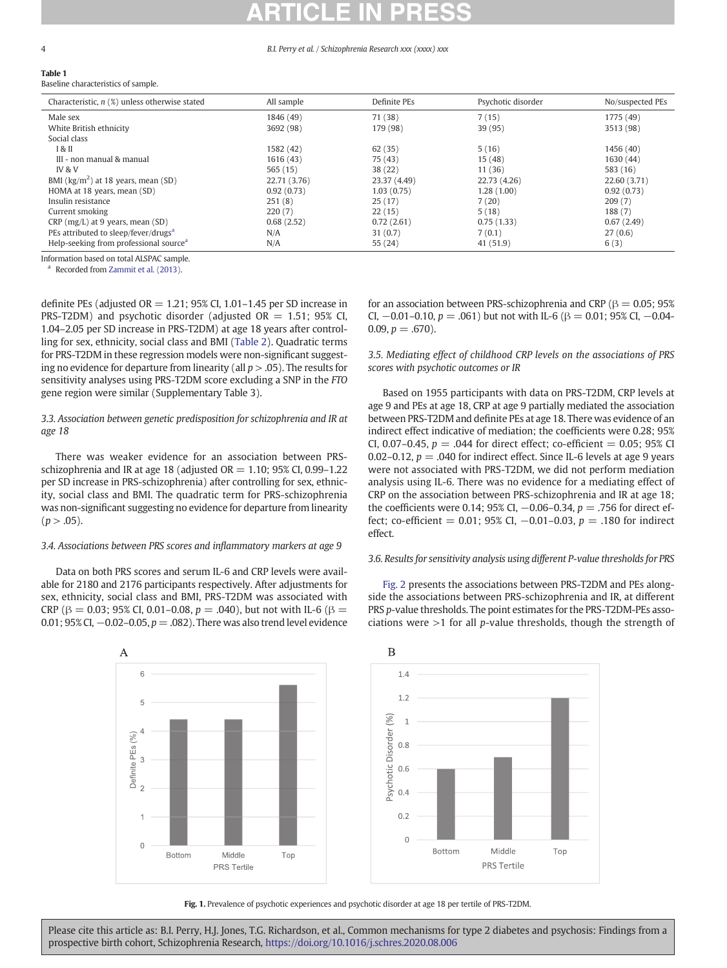### <span id="page-3-0"></span>Table 1 Baseline characteristics of sample.

| Characteristic, $n$ (%) unless otherwise stated    | All sample   | Definite PEs | Psychotic disorder | No/suspected PEs |
|----------------------------------------------------|--------------|--------------|--------------------|------------------|
| Male sex                                           | 1846 (49)    | 71 (38)      | 7(15)              | 1775 (49)        |
| White British ethnicity                            | 3692 (98)    | 179 (98)     | 39 (95)            | 3513 (98)        |
| Social class                                       |              |              |                    |                  |
| 1 & II                                             | 1582 (42)    | 62(35)       | 5(16)              | 1456 (40)        |
| III - non manual & manual                          | 1616(43)     | 75 (43)      | 15(48)             | 1630 (44)        |
| <b>IV &amp; V</b>                                  | 565(15)      | 38(22)       | 11 (36)            | 583 (16)         |
| BMI ( $\text{kg/m}^2$ ) at 18 years, mean (SD)     | 22.71 (3.76) | 23.37 (4.49) | 22.73 (4.26)       | 22.60 (3.71)     |
| HOMA at 18 years, mean (SD)                        | 0.92(0.73)   | 1.03(0.75)   | 1.28(1.00)         | 0.92(0.73)       |
| Insulin resistance                                 | 251(8)       | 25(17)       | 7(20)              | 209(7)           |
| Current smoking                                    | 220(7)       | 22(15)       | 5(18)              | 188(7)           |
| CRP (mg/L) at 9 years, mean (SD)                   | 0.68(2.52)   | 0.72(2.61)   | 0.75(1.33)         | 0.67(2.49)       |
| PEs attributed to sleep/fever/drugs <sup>a</sup>   | N/A          | 31(0.7)      | 7(0.1)             | 27(0.6)          |
| Help-seeking from professional source <sup>a</sup> | N/A          | 55(24)       | 41(51.9)           | 6(3)             |

Information based on total ALSPAC sample.

Recorded from [Zammit et al. \(2013\).](#page-8-0)

definite PEs (adjusted  $OR = 1.21$ ; 95% CI, 1.01–1.45 per SD increase in PRS-T2DM) and psychotic disorder (adjusted  $OR = 1.51$ ; 95% CI, 1.04–2.05 per SD increase in PRS-T2DM) at age 18 years after controlling for sex, ethnicity, social class and BMI [\(Table 2\)](#page-4-0). Quadratic terms for PRS-T2DM in these regression models were non-significant suggesting no evidence for departure from linearity (all  $p > .05$ ). The results for sensitivity analyses using PRS-T2DM score excluding a SNP in the FTO gene region were similar (Supplementary Table 3).

# 3.3. Association between genetic predisposition for schizophrenia and IR at age 18

There was weaker evidence for an association between PRSschizophrenia and IR at age 18 (adjusted  $OR = 1.10$ ; 95% CI, 0.99–1.22 per SD increase in PRS-schizophrenia) after controlling for sex, ethnicity, social class and BMI. The quadratic term for PRS-schizophrenia was non-significant suggesting no evidence for departure from linearity  $(p > .05)$ .

# 3.4. Associations between PRS scores and inflammatory markers at age 9

Data on both PRS scores and serum IL-6 and CRP levels were available for 2180 and 2176 participants respectively. After adjustments for sex, ethnicity, social class and BMI, PRS-T2DM was associated with CRP ( $\beta = 0.03$ ; 95% CI, 0.01–0.08, p = .040), but not with IL-6 ( $\beta =$ 0.01; 95% CI,  $-0.02-0.05$ ,  $p = .082$ ). There was also trend level evidence



for an association between PRS-schizophrenia and CRP ( $\beta = 0.05$ ; 95% CI,  $-0.01-0.10$ ,  $p = .061$ ) but not with IL-6 ( $\beta = 0.01$ ; 95% CI,  $-0.04 0.09, p = .670$ ).

3.5. Mediating effect of childhood CRP levels on the associations of PRS scores with psychotic outcomes or IR

Based on 1955 participants with data on PRS-T2DM, CRP levels at age 9 and PEs at age 18, CRP at age 9 partially mediated the association between PRS-T2DM and definite PEs at age 18. There was evidence of an indirect effect indicative of mediation; the coefficients were 0.28; 95% CI, 0.07-0.45,  $p = .044$  for direct effect; co-efficient = 0.05; 95% CI 0.02–0.12,  $p = 0.040$  for indirect effect. Since IL-6 levels at age 9 years were not associated with PRS-T2DM, we did not perform mediation analysis using IL-6. There was no evidence for a mediating effect of CRP on the association between PRS-schizophrenia and IR at age 18; the coefficients were 0.14; 95% CI,  $-0.06-0.34$ ,  $p = .756$  for direct effect; co-efficient = 0.01; 95% CI, -0.01-0.03,  $p = .180$  for indirect effect.

# 3.6. Results for sensitivity analysis using different P-value thresholds for PRS

 $\, {\bf B}$  $1.4$  $1.2$  $(%)$ Psychotic Disorder  $0.8$  $0.6$  $0.4$  $0.2$  $\Omega$ Bottom Middle Top PRS Tertile

# Fig. 1. Prevalence of psychotic experiences and psychotic disorder at age 18 per tertile of PRS-T2DM.

Please cite this article as: B.I. Perry, H.J. Jones, T.G. Richardson, et al., Common mechanisms for type 2 diabetes and psychosis: Findings from a prospective birth cohort, Schizophrenia Research, <https://doi.org/10.1016/j.schres.2020.08.006>

[Fig. 2](#page-4-0) presents the associations between PRS-T2DM and PEs alongside the associations between PRS-schizophrenia and IR, at different PRS p-value thresholds. The point estimates for the PRS-T2DM-PEs associations were  $>1$  for all p-value thresholds, though the strength of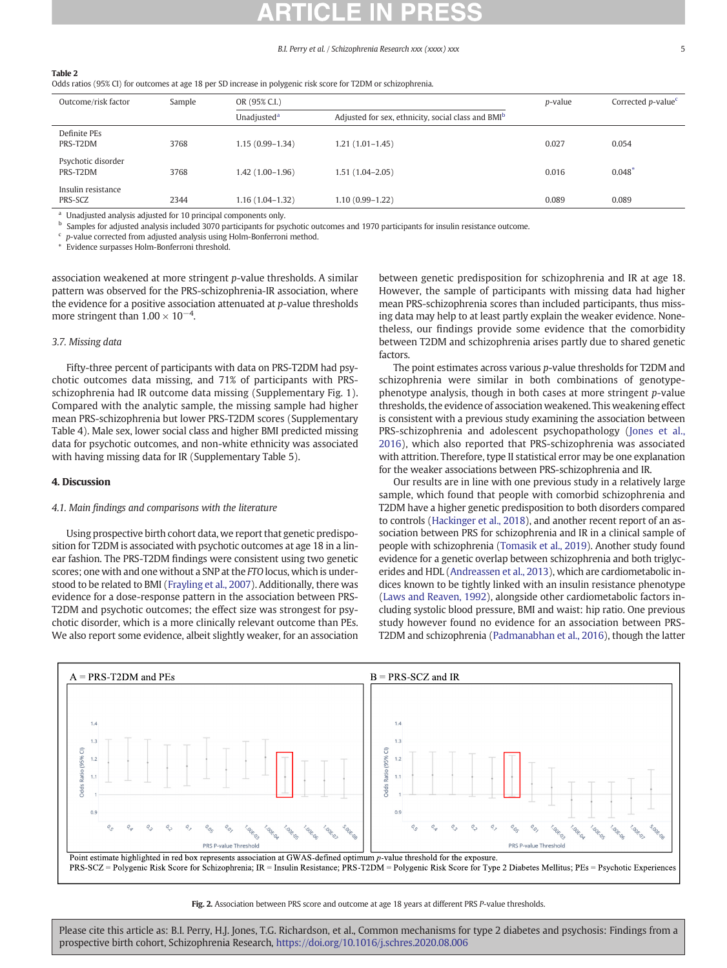### <span id="page-4-0"></span>Table 2

Odds ratios (95% CI) for outcomes at age 18 per SD increase in polygenic risk score for T2DM or schizophrenia.

| Outcome/risk factor            | Sample | OR (95% C.I.)           |                                                                | <i>p</i> -value | Corrected $p$ -value <sup>c</sup> |
|--------------------------------|--------|-------------------------|----------------------------------------------------------------|-----------------|-----------------------------------|
|                                |        | Unadjusted <sup>a</sup> | Adjusted for sex, ethnicity, social class and BMI <sup>b</sup> |                 |                                   |
| Definite PEs<br>PRS-T2DM       | 3768   | $1.15(0.99 - 1.34)$     | $1.21(1.01-1.45)$                                              | 0.027           | 0.054                             |
| Psychotic disorder<br>PRS-T2DM | 3768   | $1.42(1.00-1.96)$       | 1.51 (1.04–2.05)                                               | 0.016           | $0.048$ <sup>*</sup>              |
| Insulin resistance<br>PRS-SCZ  | 2344   | $1.16(1.04-1.32)$       | 1.10 (0.99-1.22)                                               | 0.089           | 0.089                             |

<sup>a</sup> Unadjusted analysis adjusted for 10 principal components only.<br> $\frac{b}{2}$  September for a diuted analysis included 2070 pertinizents for an

<sup>b</sup> Samples for adjusted analysis included 3070 participants for psychotic outcomes and 1970 participants for insulin resistance outcome.

 $\frac{c}{\hbar}$  p-value corrected from adjusted analysis using Holm-Bonferroni method.

⁎ Evidence surpasses Holm-Bonferroni threshold.

association weakened at more stringent p-value thresholds. A similar pattern was observed for the PRS-schizophrenia-IR association, where the evidence for a positive association attenuated at p-value thresholds more stringent than  $1.00 \times 10^{-4}$ .

# 3.7. Missing data

Fifty-three percent of participants with data on PRS-T2DM had psychotic outcomes data missing, and 71% of participants with PRSschizophrenia had IR outcome data missing (Supplementary Fig. 1). Compared with the analytic sample, the missing sample had higher mean PRS-schizophrenia but lower PRS-T2DM scores (Supplementary Table 4). Male sex, lower social class and higher BMI predicted missing data for psychotic outcomes, and non-white ethnicity was associated with having missing data for IR (Supplementary Table 5).

### 4. Discussion

## 4.1. Main findings and comparisons with the literature

Using prospective birth cohort data, we report that genetic predisposition for T2DM is associated with psychotic outcomes at age 18 in a linear fashion. The PRS-T2DM findings were consistent using two genetic scores; one with and one without a SNP at the FTO locus, which is understood to be related to BMI ([Frayling et al., 2007\)](#page-6-0). Additionally, there was evidence for a dose-response pattern in the association between PRS-T2DM and psychotic outcomes; the effect size was strongest for psychotic disorder, which is a more clinically relevant outcome than PEs. We also report some evidence, albeit slightly weaker, for an association between genetic predisposition for schizophrenia and IR at age 18. However, the sample of participants with missing data had higher mean PRS-schizophrenia scores than included participants, thus missing data may help to at least partly explain the weaker evidence. Nonetheless, our findings provide some evidence that the comorbidity between T2DM and schizophrenia arises partly due to shared genetic factors.

The point estimates across various p-value thresholds for T2DM and schizophrenia were similar in both combinations of genotypephenotype analysis, though in both cases at more stringent p-value thresholds, the evidence of association weakened. This weakening effect is consistent with a previous study examining the association between PRS-schizophrenia and adolescent psychopathology ([Jones et al.,](#page-6-0) [2016\)](#page-6-0), which also reported that PRS-schizophrenia was associated with attrition. Therefore, type II statistical error may be one explanation for the weaker associations between PRS-schizophrenia and IR.

Our results are in line with one previous study in a relatively large sample, which found that people with comorbid schizophrenia and T2DM have a higher genetic predisposition to both disorders compared to controls ([Hackinger et al., 2018](#page-6-0)), and another recent report of an association between PRS for schizophrenia and IR in a clinical sample of people with schizophrenia [\(Tomasik et al., 2019\)](#page-7-0). Another study found evidence for a genetic overlap between schizophrenia and both triglycerides and HDL [\(Andreassen et al., 2013\)](#page-6-0), which are cardiometabolic indices known to be tightly linked with an insulin resistance phenotype [\(Laws and Reaven, 1992\)](#page-7-0), alongside other cardiometabolic factors including systolic blood pressure, BMI and waist: hip ratio. One previous study however found no evidence for an association between PRS-T2DM and schizophrenia [\(Padmanabhan et al., 2016\)](#page-7-0), though the latter



Fig. 2. Association between PRS score and outcome at age 18 years at different PRS P-value thresholds.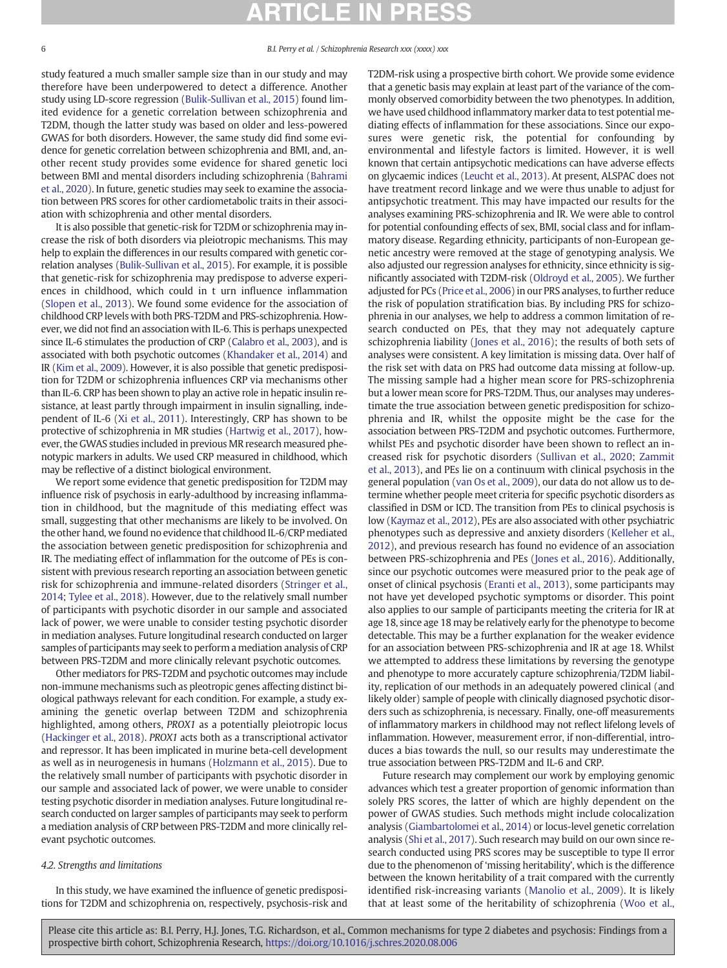study featured a much smaller sample size than in our study and may therefore have been underpowered to detect a difference. Another study using LD-score regression ([Bulik-Sullivan et al., 2015\)](#page-6-0) found limited evidence for a genetic correlation between schizophrenia and T2DM, though the latter study was based on older and less-powered GWAS for both disorders. However, the same study did find some evidence for genetic correlation between schizophrenia and BMI, and, another recent study provides some evidence for shared genetic loci between BMI and mental disorders including schizophrenia ([Bahrami](#page-6-0) [et al., 2020\)](#page-6-0). In future, genetic studies may seek to examine the association between PRS scores for other cardiometabolic traits in their association with schizophrenia and other mental disorders.

It is also possible that genetic-risk for T2DM or schizophrenia may increase the risk of both disorders via pleiotropic mechanisms. This may help to explain the differences in our results compared with genetic correlation analyses [\(Bulik-Sullivan et al., 2015](#page-6-0)). For example, it is possible that genetic-risk for schizophrenia may predispose to adverse experiences in childhood, which could in t urn influence inflammation [\(Slopen et al., 2013\)](#page-7-0). We found some evidence for the association of childhood CRP levels with both PRS-T2DM and PRS-schizophrenia. However, we did not find an association with IL-6. This is perhaps unexpected since IL-6 stimulates the production of CRP [\(Calabro et al., 2003\)](#page-6-0), and is associated with both psychotic outcomes [\(Khandaker et al., 2014\)](#page-7-0) and IR [\(Kim et al., 2009\)](#page-7-0). However, it is also possible that genetic predisposition for T2DM or schizophrenia influences CRP via mechanisms other than IL-6. CRP has been shown to play an active role in hepatic insulin resistance, at least partly through impairment in insulin signalling, independent of IL-6 ([Xi et al., 2011](#page-8-0)). Interestingly, CRP has shown to be protective of schizophrenia in MR studies [\(Hartwig et al., 2017](#page-6-0)), however, the GWAS studies included in previous MR research measured phenotypic markers in adults. We used CRP measured in childhood, which may be reflective of a distinct biological environment.

We report some evidence that genetic predisposition for T2DM may influence risk of psychosis in early-adulthood by increasing inflammation in childhood, but the magnitude of this mediating effect was small, suggesting that other mechanisms are likely to be involved. On the other hand, we found no evidence that childhood IL-6/CRP mediated the association between genetic predisposition for schizophrenia and IR. The mediating effect of inflammation for the outcome of PEs is consistent with previous research reporting an association between genetic risk for schizophrenia and immune-related disorders ([Stringer et al.,](#page-7-0) [2014;](#page-7-0) [Tylee et al., 2018\)](#page-7-0). However, due to the relatively small number of participants with psychotic disorder in our sample and associated lack of power, we were unable to consider testing psychotic disorder in mediation analyses. Future longitudinal research conducted on larger samples of participants may seek to perform a mediation analysis of CRP between PRS-T2DM and more clinically relevant psychotic outcomes.

Other mediators for PRS-T2DM and psychotic outcomes may include non-immune mechanisms such as pleotropic genes affecting distinct biological pathways relevant for each condition. For example, a study examining the genetic overlap between T2DM and schizophrenia highlighted, among others, PROX1 as a potentially pleiotropic locus [\(Hackinger et al., 2018\)](#page-6-0). PROX1 acts both as a transcriptional activator and repressor. It has been implicated in murine beta-cell development as well as in neurogenesis in humans [\(Holzmann et al., 2015](#page-6-0)). Due to the relatively small number of participants with psychotic disorder in our sample and associated lack of power, we were unable to consider testing psychotic disorder in mediation analyses. Future longitudinal research conducted on larger samples of participants may seek to perform a mediation analysis of CRP between PRS-T2DM and more clinically relevant psychotic outcomes.

# 4.2. Strengths and limitations

In this study, we have examined the influence of genetic predispositions for T2DM and schizophrenia on, respectively, psychosis-risk and T2DM-risk using a prospective birth cohort. We provide some evidence that a genetic basis may explain at least part of the variance of the commonly observed comorbidity between the two phenotypes. In addition, we have used childhood inflammatory marker data to test potential mediating effects of inflammation for these associations. Since our exposures were genetic risk, the potential for confounding by environmental and lifestyle factors is limited. However, it is well known that certain antipsychotic medications can have adverse effects on glycaemic indices ([Leucht et al., 2013](#page-7-0)). At present, ALSPAC does not have treatment record linkage and we were thus unable to adjust for antipsychotic treatment. This may have impacted our results for the analyses examining PRS-schizophrenia and IR. We were able to control for potential confounding effects of sex, BMI, social class and for inflammatory disease. Regarding ethnicity, participants of non-European genetic ancestry were removed at the stage of genotyping analysis. We also adjusted our regression analyses for ethnicity, since ethnicity is significantly associated with T2DM-risk [\(Oldroyd et al., 2005](#page-7-0)). We further adjusted for PCs [\(Price et al., 2006\)](#page-7-0) in our PRS analyses, to further reduce the risk of population stratification bias. By including PRS for schizophrenia in our analyses, we help to address a common limitation of research conducted on PEs, that they may not adequately capture schizophrenia liability ([Jones et al., 2016\)](#page-6-0); the results of both sets of analyses were consistent. A key limitation is missing data. Over half of the risk set with data on PRS had outcome data missing at follow-up. The missing sample had a higher mean score for PRS-schizophrenia but a lower mean score for PRS-T2DM. Thus, our analyses may underestimate the true association between genetic predisposition for schizophrenia and IR, whilst the opposite might be the case for the association between PRS-T2DM and psychotic outcomes. Furthermore, whilst PEs and psychotic disorder have been shown to reflect an increased risk for psychotic disorders ([Sullivan et al., 2020](#page-7-0); [Zammit](#page-8-0) [et al., 2013](#page-8-0)), and PEs lie on a continuum with clinical psychosis in the general population ([van Os et al., 2009](#page-8-0)), our data do not allow us to determine whether people meet criteria for specific psychotic disorders as classified in DSM or ICD. The transition from PEs to clinical psychosis is low [\(Kaymaz et al., 2012\)](#page-6-0), PEs are also associated with other psychiatric phenotypes such as depressive and anxiety disorders ([Kelleher et al.,](#page-7-0) [2012\)](#page-7-0), and previous research has found no evidence of an association between PRS-schizophrenia and PEs [\(Jones et al., 2016](#page-6-0)). Additionally, since our psychotic outcomes were measured prior to the peak age of onset of clinical psychosis [\(Eranti et al., 2013](#page-6-0)), some participants may not have yet developed psychotic symptoms or disorder. This point also applies to our sample of participants meeting the criteria for IR at age 18, since age 18 may be relatively early for the phenotype to become detectable. This may be a further explanation for the weaker evidence for an association between PRS-schizophrenia and IR at age 18. Whilst we attempted to address these limitations by reversing the genotype and phenotype to more accurately capture schizophrenia/T2DM liability, replication of our methods in an adequately powered clinical (and likely older) sample of people with clinically diagnosed psychotic disorders such as schizophrenia, is necessary. Finally, one-off measurements of inflammatory markers in childhood may not reflect lifelong levels of inflammation. However, measurement error, if non-differential, introduces a bias towards the null, so our results may underestimate the true association between PRS-T2DM and IL-6 and CRP.

Future research may complement our work by employing genomic advances which test a greater proportion of genomic information than solely PRS scores, the latter of which are highly dependent on the power of GWAS studies. Such methods might include colocalization analysis [\(Giambartolomei et al., 2014](#page-6-0)) or locus-level genetic correlation analysis [\(Shi et al., 2017\)](#page-7-0). Such research may build on our own since research conducted using PRS scores may be susceptible to type II error due to the phenomenon of 'missing heritability', which is the difference between the known heritability of a trait compared with the currently identified risk-increasing variants [\(Manolio et al., 2009\)](#page-7-0). It is likely that at least some of the heritability of schizophrenia ([Woo et al.,](#page-8-0)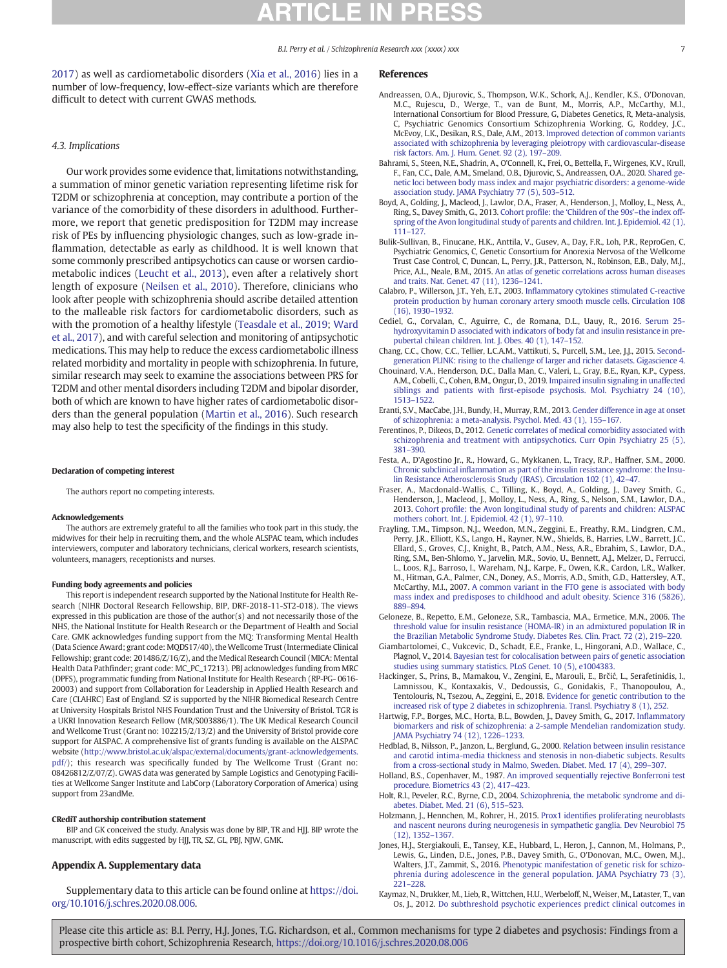<span id="page-6-0"></span>[2017\)](#page-8-0) as well as cardiometabolic disorders [\(Xia et al., 2016\)](#page-8-0) lies in a number of low-frequency, low-effect-size variants which are therefore difficult to detect with current GWAS methods.

# 4.3. Implications

Our work provides some evidence that, limitations notwithstanding, a summation of minor genetic variation representing lifetime risk for T2DM or schizophrenia at conception, may contribute a portion of the variance of the comorbidity of these disorders in adulthood. Furthermore, we report that genetic predisposition for T2DM may increase risk of PEs by influencing physiologic changes, such as low-grade inflammation, detectable as early as childhood. It is well known that some commonly prescribed antipsychotics can cause or worsen cardiometabolic indices ([Leucht et al., 2013](#page-7-0)), even after a relatively short length of exposure [\(Neilsen et al., 2010](#page-7-0)). Therefore, clinicians who look after people with schizophrenia should ascribe detailed attention to the malleable risk factors for cardiometabolic disorders, such as with the promotion of a healthy lifestyle [\(Teasdale et al., 2019](#page-7-0); [Ward](#page-8-0) [et al., 2017\)](#page-8-0), and with careful selection and monitoring of antipsychotic medications. This may help to reduce the excess cardiometabolic illness related morbidity and mortality in people with schizophrenia. In future, similar research may seek to examine the associations between PRS for T2DM and other mental disorders including T2DM and bipolar disorder, both of which are known to have higher rates of cardiometabolic disorders than the general population [\(Martin et al., 2016](#page-7-0)). Such research may also help to test the specificity of the findings in this study.

### Declaration of competing interest

The authors report no competing interests.

### Acknowledgements

The authors are extremely grateful to all the families who took part in this study, the midwives for their help in recruiting them, and the whole ALSPAC team, which includes interviewers, computer and laboratory technicians, clerical workers, research scientists, volunteers, managers, receptionists and nurses.

### Funding body agreements and policies

This report is independent research supported by the National Institute for Health Research (NIHR Doctoral Research Fellowship, BIP, DRF-2018-11-ST2-018). The views expressed in this publication are those of the author(s) and not necessarily those of the NHS, the National Institute for Health Research or the Department of Health and Social Care. GMK acknowledges funding support from the MQ: Transforming Mental Health (Data Science Award; grant code: MQDS17/40), the Wellcome Trust (Intermediate Clinical Fellowship; grant code: 201486/Z/16/Z), and the Medical Research Council (MICA: Mental Health Data Pathfinder; grant code: MC\_PC\_17213). PBJ acknowledges funding from MRC (DPFS), programmatic funding from National Institute for Health Research (RP-PG- 0616- 20003) and support from Collaboration for Leadership in Applied Health Research and Care (CLAHRC) East of England. SZ is supported by the NIHR Biomedical Research Centre at University Hospitals Bristol NHS Foundation Trust and the University of Bristol. TGR is a UKRI Innovation Research Fellow (MR/S003886/1). The UK Medical Research Council and Wellcome Trust (Grant no: 102215/2/13/2) and the University of Bristol provide core support for ALSPAC. A comprehensive list of grants funding is available on the ALSPAC website [\(http://www.bristol.ac.uk/alspac/external/documents/grant-acknowledgements.](http://www.bristol.ac.uk/alspac/external/documents/grant-acknowledgements.pdf/) [pdf/\)](http://www.bristol.ac.uk/alspac/external/documents/grant-acknowledgements.pdf/); this research was specifically funded by The Wellcome Trust (Grant no: 08426812/Z/07/Z). GWAS data was generated by Sample Logistics and Genotyping Facilities at Wellcome Sanger Institute and LabCorp (Laboratory Corporation of America) using support from 23andMe.

### CRediT authorship contribution statement

BIP and GK conceived the study. Analysis was done by BIP, TR and HJJ. BIP wrote the manuscript, with edits suggested by HJJ, TR, SZ, GL, PBJ, NJW, GMK.

# Appendix A. Supplementary data

Supplementary data to this article can be found online at [https://doi.](https://doi.org/10.1016/j.schres.2020.08.006) [org/10.1016/j.schres.2020.08.006.](https://doi.org/10.1016/j.schres.2020.08.006)

## References

- Andreassen, O.A., Djurovic, S., Thompson, W.K., Schork, A.J., Kendler, K.S., O'Donovan, M.C., Rujescu, D., Werge, T., van de Bunt, M., Morris, A.P., McCarthy, M.I., International Consortium for Blood Pressure, G, Diabetes Genetics, R, Meta-analysis, C, Psychiatric Genomics Consortium Schizophrenia Working, G, Roddey, J.C., McEvoy, L.K., Desikan, R.S., Dale, A.M., 2013. [Improved detection of common variants](http://refhub.elsevier.com/S0920-9964(20)30434-5/rf0005) [associated with schizophrenia by leveraging pleiotropy with cardiovascular-disease](http://refhub.elsevier.com/S0920-9964(20)30434-5/rf0005) [risk factors. Am. J. Hum. Genet. 92 \(2\), 197](http://refhub.elsevier.com/S0920-9964(20)30434-5/rf0005)–209.
- Bahrami, S., Steen, N.E., Shadrin, A., O'Connell, K., Frei, O., Bettella, F., Wirgenes, K.V., Krull, F., Fan, C.C., Dale, A.M., Smeland, O.B., Djurovic, S., Andreassen, O.A., 2020. [Shared ge](http://refhub.elsevier.com/S0920-9964(20)30434-5/rf0010)[netic loci between body mass index and major psychiatric disorders: a genome-wide](http://refhub.elsevier.com/S0920-9964(20)30434-5/rf0010) [association study. JAMA Psychiatry 77 \(5\), 503](http://refhub.elsevier.com/S0920-9964(20)30434-5/rf0010)–512.
- Boyd, A., Golding, J., Macleod, J., Lawlor, D.A., Fraser, A., Henderson, J., Molloy, L., Ness, A., Ring, S., Davey Smith, G., 2013. Cohort profile: the '[Children of the 90s](http://refhub.elsevier.com/S0920-9964(20)30434-5/rf0015)'–the index off[spring of the Avon longitudinal study of parents and children. Int. J. Epidemiol. 42 \(1\),](http://refhub.elsevier.com/S0920-9964(20)30434-5/rf0015) [111](http://refhub.elsevier.com/S0920-9964(20)30434-5/rf0015)–127.
- Bulik-Sullivan, B., Finucane, H.K., Anttila, V., Gusev, A., Day, F.R., Loh, P.R., ReproGen, C, Psychiatric Genomics, C, Genetic Consortium for Anorexia Nervosa of the Wellcome Trust Case Control, C, Duncan, L., Perry, J.R., Patterson, N., Robinson, E.B., Daly, M.J., Price, A.L., Neale, B.M., 2015. [An atlas of genetic correlations across human diseases](http://refhub.elsevier.com/S0920-9964(20)30434-5/rf0020) [and traits. Nat. Genet. 47 \(11\), 1236](http://refhub.elsevier.com/S0920-9964(20)30434-5/rf0020)–1241.
- Calabro, P., Willerson, J.T., Yeh, E.T., 2003. Infl[ammatory cytokines stimulated C-reactive](http://refhub.elsevier.com/S0920-9964(20)30434-5/rf0025) [protein production by human coronary artery smooth muscle cells. Circulation 108](http://refhub.elsevier.com/S0920-9964(20)30434-5/rf0025) [\(16\), 1930](http://refhub.elsevier.com/S0920-9964(20)30434-5/rf0025)–1932.
- Cediel, G., Corvalan, C., Aguirre, C., de Romana, D.L., Uauy, R., 2016. [Serum 25](http://refhub.elsevier.com/S0920-9964(20)30434-5/rf0030) [hydroxyvitamin D associated with indicators of body fat and insulin resistance in pre](http://refhub.elsevier.com/S0920-9964(20)30434-5/rf0030)[pubertal chilean children. Int. J. Obes. 40 \(1\), 147](http://refhub.elsevier.com/S0920-9964(20)30434-5/rf0030)–152.
- Chang, C.C., Chow, C.C., Tellier, L.C.A.M., Vattikuti, S., Purcell, S.M., Lee, J.J., 2015. [Second](http://refhub.elsevier.com/S0920-9964(20)30434-5/rf0035)[generation PLINK: rising to the challenge of larger and richer datasets. Gigascience 4](http://refhub.elsevier.com/S0920-9964(20)30434-5/rf0035).
- Chouinard, V.A., Henderson, D.C., Dalla Man, C., Valeri, L., Gray, B.E., Ryan, K.P., Cypess, A.M., Cobelli, C., Cohen, B.M., Ongur, D., 2019. [Impaired insulin signaling in unaffected](http://refhub.elsevier.com/S0920-9964(20)30434-5/rf0040) siblings and patients with fi[rst-episode psychosis. Mol. Psychiatry 24 \(10\),](http://refhub.elsevier.com/S0920-9964(20)30434-5/rf0040) [1513](http://refhub.elsevier.com/S0920-9964(20)30434-5/rf0040)–1522.
- Eranti, S.V., MacCabe, J.H., Bundy, H., Murray, R.M., 2013. [Gender difference in age at onset](http://refhub.elsevier.com/S0920-9964(20)30434-5/rf0045) [of schizophrenia: a meta-analysis. Psychol. Med. 43 \(1\), 155](http://refhub.elsevier.com/S0920-9964(20)30434-5/rf0045)–167.
- Ferentinos, P., Dikeos, D., 2012. [Genetic correlates of medical comorbidity associated with](http://refhub.elsevier.com/S0920-9964(20)30434-5/rf0050) [schizophrenia and treatment with antipsychotics. Curr Opin Psychiatry 25 \(5\),](http://refhub.elsevier.com/S0920-9964(20)30434-5/rf0050) [381](http://refhub.elsevier.com/S0920-9964(20)30434-5/rf0050)–390.
- Festa, A., D'Agostino Jr., R., Howard, G., Mykkanen, L., Tracy, R.P., Haffner, S.M., 2000. Chronic subclinical infl[ammation as part of the insulin resistance syndrome: the Insu](http://refhub.elsevier.com/S0920-9964(20)30434-5/rf0055)[lin Resistance Atherosclerosis Study \(IRAS\). Circulation 102 \(1\), 42](http://refhub.elsevier.com/S0920-9964(20)30434-5/rf0055)–47.
- Fraser, A., Macdonald-Wallis, C., Tilling, K., Boyd, A., Golding, J., Davey Smith, G., Henderson, J., Macleod, J., Molloy, L., Ness, A., Ring, S., Nelson, S.M., Lawlor, D.A., 2013. Cohort profi[le: the Avon longitudinal study of parents and children: ALSPAC](http://refhub.elsevier.com/S0920-9964(20)30434-5/rf0060) [mothers cohort. Int. J. Epidemiol. 42 \(1\), 97](http://refhub.elsevier.com/S0920-9964(20)30434-5/rf0060)–110.
- Frayling, T.M., Timpson, N.J., Weedon, M.N., Zeggini, E., Freathy, R.M., Lindgren, C.M., Perry, J.R., Elliott, K.S., Lango, H., Rayner, N.W., Shields, B., Harries, L.W., Barrett, J.C., Ellard, S., Groves, C.J., Knight, B., Patch, A.M., Ness, A.R., Ebrahim, S., Lawlor, D.A., Ring, S.M., Ben-Shlomo, Y., Jarvelin, M.R., Sovio, U., Bennett, A.J., Melzer, D., Ferrucci, L., Loos, R.J., Barroso, I., Wareham, N.J., Karpe, F., Owen, K.R., Cardon, L.R., Walker, M., Hitman, G.A., Palmer, C.N., Doney, A.S., Morris, A.D., Smith, G.D., Hattersley, A.T., McCarthy, M.I., 2007. [A common variant in the FTO gene is associated with body](http://refhub.elsevier.com/S0920-9964(20)30434-5/rf0065) [mass index and predisposes to childhood and adult obesity. Science 316 \(5826\),](http://refhub.elsevier.com/S0920-9964(20)30434-5/rf0065) [889](http://refhub.elsevier.com/S0920-9964(20)30434-5/rf0065)–894.
- Geloneze, B., Repetto, E.M., Geloneze, S.R., Tambascia, M.A., Ermetice, M.N., 2006. [The](http://refhub.elsevier.com/S0920-9964(20)30434-5/rf0070) [threshold value for insulin resistance \(HOMA-IR\) in an admixtured population IR in](http://refhub.elsevier.com/S0920-9964(20)30434-5/rf0070) [the Brazilian Metabolic Syndrome Study. Diabetes Res. Clin. Pract. 72 \(2\), 219](http://refhub.elsevier.com/S0920-9964(20)30434-5/rf0070)–220.
- Giambartolomei, C., Vukcevic, D., Schadt, E.E., Franke, L., Hingorani, A.D., Wallace, C., Plagnol, V., 2014. [Bayesian test for colocalisation between pairs of genetic association](http://refhub.elsevier.com/S0920-9964(20)30434-5/rf0075) [studies using summary statistics. PLoS Genet. 10 \(5\), e1004383.](http://refhub.elsevier.com/S0920-9964(20)30434-5/rf0075)
- Hackinger, S., Prins, B., Mamakou, V., Zengini, E., Marouli, E., Brčić, L., Serafetinidis, I., Lamnissou, K., Kontaxakis, V., Dedoussis, G., Gonidakis, F., Thanopoulou, A., Tentolouris, N., Tsezou, A., Zeggini, E., 2018. [Evidence for genetic contribution to the](http://refhub.elsevier.com/S0920-9964(20)30434-5/rf0080) [increased risk of type 2 diabetes in schizophrenia. Transl. Psychiatry 8 \(1\), 252](http://refhub.elsevier.com/S0920-9964(20)30434-5/rf0080).
- Hartwig, F.P., Borges, M.C., Horta, B.L., Bowden, J., Davey Smith, G., 2017. Infl[ammatory](http://refhub.elsevier.com/S0920-9964(20)30434-5/rf0085) [biomarkers and risk of schizophrenia: a 2-sample Mendelian randomization study.](http://refhub.elsevier.com/S0920-9964(20)30434-5/rf0085) [JAMA Psychiatry 74 \(12\), 1226](http://refhub.elsevier.com/S0920-9964(20)30434-5/rf0085)–1233.
- Hedblad, B., Nilsson, P., Janzon, L., Berglund, G., 2000. [Relation between insulin resistance](http://refhub.elsevier.com/S0920-9964(20)30434-5/rf0090) [and carotid intima-media thickness and stenosis in non-diabetic subjects. Results](http://refhub.elsevier.com/S0920-9964(20)30434-5/rf0090) [from a cross-sectional study in Malmo, Sweden. Diabet. Med. 17 \(4\), 299](http://refhub.elsevier.com/S0920-9964(20)30434-5/rf0090)–307.
- Holland, B.S., Copenhaver, M., 1987. [An improved sequentially rejective Bonferroni test](http://refhub.elsevier.com/S0920-9964(20)30434-5/rf0095) [procedure. Biometrics 43 \(2\), 417](http://refhub.elsevier.com/S0920-9964(20)30434-5/rf0095)–423.
- Holt, R.I., Peveler, R.C., Byrne, C.D., 2004. [Schizophrenia, the metabolic syndrome and di](http://refhub.elsevier.com/S0920-9964(20)30434-5/rf0100)[abetes. Diabet. Med. 21 \(6\), 515](http://refhub.elsevier.com/S0920-9964(20)30434-5/rf0100)–523.
- Holzmann, J., Hennchen, M., Rohrer, H., 2015. Prox1 identifi[es proliferating neuroblasts](http://refhub.elsevier.com/S0920-9964(20)30434-5/rf0105) [and nascent neurons during neurogenesis in sympathetic ganglia. Dev Neurobiol 75](http://refhub.elsevier.com/S0920-9964(20)30434-5/rf0105) [\(12\), 1352](http://refhub.elsevier.com/S0920-9964(20)30434-5/rf0105)–1367.
- Jones, H.J., Stergiakouli, E., Tansey, K.E., Hubbard, L., Heron, J., Cannon, M., Holmans, P., Lewis, G., Linden, D.E., Jones, P.B., Davey Smith, G., O'Donovan, M.C., Owen, M.J., Walters, J.T., Zammit, S., 2016. [Phenotypic manifestation of genetic risk for schizo](http://refhub.elsevier.com/S0920-9964(20)30434-5/rf0110)[phrenia during adolescence in the general population. JAMA Psychiatry 73 \(3\),](http://refhub.elsevier.com/S0920-9964(20)30434-5/rf0110) [221](http://refhub.elsevier.com/S0920-9964(20)30434-5/rf0110)–228.
- Kaymaz, N., Drukker, M., Lieb, R., Wittchen, H.U., Werbeloff, N., Weiser, M., Lataster, T., van Os, J., 2012. [Do subthreshold psychotic experiences predict clinical outcomes in](http://refhub.elsevier.com/S0920-9964(20)30434-5/rf0115)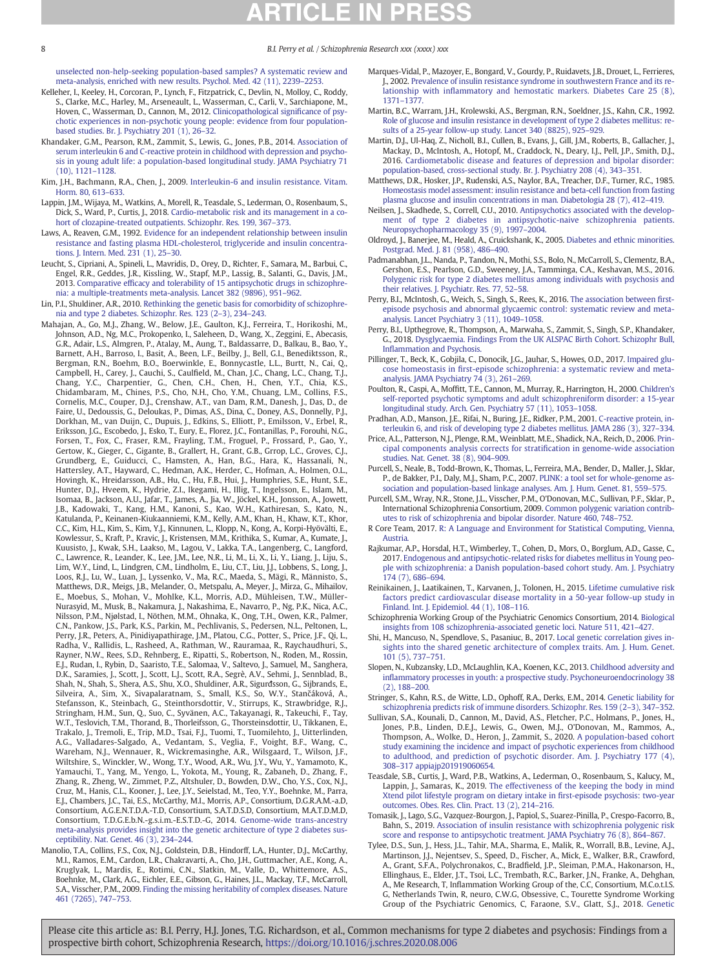[unselected non-help-seeking population-based samples? A systematic review and](http://refhub.elsevier.com/S0920-9964(20)30434-5/rf0115) [meta-analysis, enriched with new results. Psychol. Med. 42 \(11\), 2239](http://refhub.elsevier.com/S0920-9964(20)30434-5/rf0115)–2253.

- Kelleher, I., Keeley, H., Corcoran, P., Lynch, F., Fitzpatrick, C., Devlin, N., Molloy, C., Roddy, S., Clarke, M.C., Harley, M., Arseneault, L., Wasserman, C., Carli, V., Sarchiapone, M., Hoven, C., Wasserman, D., Cannon, M., 2012. [Clinicopathological signi](http://refhub.elsevier.com/S0920-9964(20)30434-5/rf0120)ficance of psy[chotic experiences in non-psychotic young people: evidence from four population](http://refhub.elsevier.com/S0920-9964(20)30434-5/rf0120)[based studies. Br. J. Psychiatry 201 \(1\), 26](http://refhub.elsevier.com/S0920-9964(20)30434-5/rf0120)–32.
- Khandaker, G.M., Pearson, R.M., Zammit, S., Lewis, G., Jones, P.B., 2014. [Association of](http://refhub.elsevier.com/S0920-9964(20)30434-5/rf0125) [serum interleukin 6 and C-reactive protein in childhood with depression and psycho](http://refhub.elsevier.com/S0920-9964(20)30434-5/rf0125)[sis in young adult life: a population-based longitudinal study. JAMA Psychiatry 71](http://refhub.elsevier.com/S0920-9964(20)30434-5/rf0125) [\(10\), 1121](http://refhub.elsevier.com/S0920-9964(20)30434-5/rf0125)–1128.
- Kim, J.H., Bachmann, R.A., Chen, J., 2009. [Interleukin-6 and insulin resistance. Vitam.](http://refhub.elsevier.com/S0920-9964(20)30434-5/rf0130) [Horm. 80, 613](http://refhub.elsevier.com/S0920-9964(20)30434-5/rf0130)–633.
- Lappin, J.M., Wijaya, M., Watkins, A., Morell, R., Teasdale, S., Lederman, O., Rosenbaum, S., Dick, S., Ward, P., Curtis, J., 2018. [Cardio-metabolic risk and its management in a co](http://refhub.elsevier.com/S0920-9964(20)30434-5/rf0135)[hort of clozapine-treated outpatients. Schizophr. Res. 199, 367](http://refhub.elsevier.com/S0920-9964(20)30434-5/rf0135)–373.
- Laws, A., Reaven, G.M., 1992. [Evidence for an independent relationship between insulin](http://refhub.elsevier.com/S0920-9964(20)30434-5/rf0140) [resistance and fasting plasma HDL-cholesterol, triglyceride and insulin concentra](http://refhub.elsevier.com/S0920-9964(20)30434-5/rf0140)[tions. J. Intern. Med. 231 \(1\), 25](http://refhub.elsevier.com/S0920-9964(20)30434-5/rf0140)–30.
- Leucht, S., Cipriani, A., Spineli, L., Mavridis, D., Orey, D., Richter, F., Samara, M., Barbui, C., Engel, R.R., Geddes, J.R., Kissling, W., Stapf, M.P., Lassig, B., Salanti, G., Davis, J.M., 2013. Comparative effi[cacy and tolerability of 15 antipsychotic drugs in schizophre](http://refhub.elsevier.com/S0920-9964(20)30434-5/rf0145)[nia: a multiple-treatments meta-analysis. Lancet 382 \(9896\), 951](http://refhub.elsevier.com/S0920-9964(20)30434-5/rf0145)–962.
- Lin, P.I., Shuldiner, A.R., 2010. [Rethinking the genetic basis for comorbidity of schizophre](http://refhub.elsevier.com/S0920-9964(20)30434-5/rf0150)[nia and type 2 diabetes. Schizophr. Res. 123 \(2](http://refhub.elsevier.com/S0920-9964(20)30434-5/rf0150)–3), 234–243.
- Mahajan, A., Go, M.J., Zhang, W., Below, J.E., Gaulton, K.J., Ferreira, T., Horikoshi, M., Johnson, A.D., Ng, M.C., Prokopenko, I., Saleheen, D., Wang, X., Zeggini, E., Abecasis, G.R., Adair, L.S., Almgren, P., Atalay, M., Aung, T., Baldassarre, D., Balkau, B., Bao, Y., Barnett, A.H., Barroso, I., Basit, A., Been, L.F., Beilby, J., Bell, G.I., Benediktsson, R., Bergman, R.N., Boehm, B.O., Boerwinkle, E., Bonnycastle, L.L., Burtt, N., Cai, Q., Campbell, H., Carey, J., Cauchi, S., Caulfield, M., Chan, J.C., Chang, L.C., Chang, T.J., Chang, Y.C., Charpentier, G., Chen, C.H., Chen, H., Chen, Y.T., Chia, K.S., Chidambaram, M., Chines, P.S., Cho, N.H., Cho, Y.M., Chuang, L.M., Collins, F.S., Cornelis, M.C., Couper, D.J., Crenshaw, A.T., van Dam, R.M., Danesh, J., Das, D., de Faire, U., Dedoussis, G., Deloukas, P., Dimas, A.S., Dina, C., Doney, A.S., Donnelly, P.J., Dorkhan, M., van Duijn, C., Dupuis, J., Edkins, S., Elliott, P., Emilsson, V., Erbel, R., Eriksson, J.G., Escobedo, J., Esko, T., Eury, E., Florez, J.C., Fontanillas, P., Forouhi, N.G., Forsen, T., Fox, C., Fraser, R.M., Frayling, T.M., Froguel, P., Frossard, P., Gao, Y., Gertow, K., Gieger, C., Gigante, B., Grallert, H., Grant, G.B., Grrop, L.C., Groves, C.J., Grundberg, E., Guiducci, C., Hamsten, A., Han, B.G., Hara, K., Hassanali, N., Hattersley, A.T., Hayward, C., Hedman, A.K., Herder, C., Hofman, A., Holmen, O.L., Hovingh, K., Hreidarsson, A.B., Hu, C., Hu, F.B., Hui, J., Humphries, S.E., Hunt, S.E., Hunter, D.J., Hveem, K., Hydrie, Z.I., Ikegami, H., Illig, T., Ingelsson, E., Islam, M., Isomaa, B., Jackson, A.U., Jafar, T., James, A., Jia, W., Jöckel, K.H., Jonsson, A., Jowett, J.B., Kadowaki, T., Kang, H.M., Kanoni, S., Kao, W.H., Kathiresan, S., Kato, N., Katulanda, P., Keinanen-Kiukaanniemi, K.M., Kelly, A.M., Khan, H., Khaw, K.T., Khor, C.C., Kim, H.L., Kim, S., Kim, Y.J., Kinnunen, L., Klopp, N., Kong, A., Korpi-Hyövälti, E., Kowlessur, S., Kraft, P., Kravic, J., Kristensen, M.M., Krithika, S., Kumar, A., Kumate, J., Kuusisto, J., Kwak, S.H., Laakso, M., Lagou, V., Lakka, T.A., Langenberg, C., Langford, C., Lawrence, R., Leander, K., Lee, J.M., Lee, N.R., Li, M., Li, X., Li, Y., Liang, J., Liju, S., Lim, W.Y., Lind, L., Lindgren, C.M., Lindholm, E., Liu, C.T., Liu, J.J., Lobbens, S., Long, J., Loos, R.J., Lu, W., Luan, J., Lyssenko, V., Ma, R.C., Maeda, S., Mägi, R., Männisto, S., Matthews, D.R., Meigs, J.B., Melander, O., Metspalu, A., Meyer, J., Mirza, G., Mihailov, E., Moebus, S., Mohan, V., Mohlke, K.L., Morris, A.D., Mühleisen, T.W., Müller-Nurasyid, M., Musk, B., Nakamura, J., Nakashima, E., Navarro, P., Ng, P.K., Nica, A.C., Nilsson, P.M., Njølstad, I., Nöthen, M.M., Ohnaka, K., Ong, T.H., Owen, K.R., Palmer, C.N., Pankow, J.S., Park, K.S., Parkin, M., Pechlivanis, S., Pedersen, N.L., Peltonen, L., Perry, J.R., Peters, A., Pinidiyapathirage, J.M., Platou, C.G., Potter, S., Price, J.F., Qi, L., Radha, V., Rallidis, L., Rasheed, A., Rathman, W., Rauramaa, R., Raychaudhuri, S., Rayner, N.W., Rees, S.D., Rehnberg, E., Ripatti, S., Robertson, N., Roden, M., Rossin, E.J., Rudan, I., Rybin, D., Saaristo, T.E., Salomaa, V., Saltevo, J., Samuel, M., Sanghera, D.K., Saramies, J., Scott, J., Scott, L.J., Scott, R.A., Segrè, A.V., Sehmi, J., Sennblad, B., Shah, N., Shah, S., Shera, A.S., Shu, X.O., Shuldiner, A.R., Sigurđsson, G., Sijbrands, E., Silveira, A., Sim, X., Sivapalaratnam, S., Small, K.S., So, W.Y., Stančáková, A., Stefansson, K., Steinbach, G., Steinthorsdottir, V., Stirrups, K., Strawbridge, R.J., Stringham, H.M., Sun, Q., Suo, C., Syvänen, A.C., Takayanagi, R., Takeuchi, F., Tay, W.T., Teslovich, T.M., Thorand, B., Thorleifsson, G., Thorsteinsdottir, U., Tikkanen, E., Trakalo, J., Tremoli, E., Trip, M.D., Tsai, F.J., Tuomi, T., Tuomilehto, J., Uitterlinden,<br>A.G., Valladares-Salgado, A., Vedantam, S., Veglia, F., Voight, B.F., Wang, C., Wareham, N.J., Wennauer, R., Wickremasinghe, A.R., Wilsgaard, T., Wilson, J.F., Wiltshire, S., Winckler, W., Wong, T.Y., Wood, A.R., Wu, J.Y., Wu, Y., Yamamoto, K.,<br>Yamauchi, T., Yang, M., Yengo, L., Yokota, M., Young, R., Zabaneh, D., Zhang, F., Zhang, R., Zheng, W., Zimmet, P.Z., Altshuler, D., Bowden, D.W., Cho, Y.S., Cox, N.J., Cruz, M., Hanis, C.L., Kooner, J., Lee, J.Y., Seielstad, M., Teo, Y.Y., Boehnke, M., Parra, E.J., Chambers, J.C., Tai, E.S., McCarthy, M.I., Morris, A.P., Consortium, D.G.R.A.M.-a.D, Consortium, A.G.E.N.T.D.A.-T.D, Consortium, S.A.T.D.S.D, Consortium, M.A.T.D.M.D, Consortium, T.D.G.E.b.N.-g.s.i.m.-E.S.T.D.-G, 2014. [Genome-wide trans-ancestry](http://refhub.elsevier.com/S0920-9964(20)30434-5/rf0155) [meta-analysis provides insight into the genetic architecture of type 2 diabetes sus](http://refhub.elsevier.com/S0920-9964(20)30434-5/rf0155)[ceptibility. Nat. Genet. 46 \(3\), 234](http://refhub.elsevier.com/S0920-9964(20)30434-5/rf0155)–244.
- Manolio, T.A., Collins, F.S., Cox, N.J., Goldstein, D.B., Hindorff, L.A., Hunter, D.J., McCarthy, M.I., Ramos, E.M., Cardon, L.R., Chakravarti, A., Cho, J.H., Guttmacher, A.E., Kong, A., Kruglyak, L., Mardis, E., Rotimi, C.N., Slatkin, M., Valle, D., Whittemore, A.S., Boehnke, M., Clark, A.G., Eichler, E.E., Gibson, G., Haines, J.L., Mackay, T.F., McCarroll, S.A., Visscher, P.M., 2009. [Finding the missing heritability of complex diseases. Nature](http://refhub.elsevier.com/S0920-9964(20)30434-5/rf0160) [461 \(7265\), 747](http://refhub.elsevier.com/S0920-9964(20)30434-5/rf0160)–753.
- Marques-Vidal, P., Mazoyer, E., Bongard, V., Gourdy, P., Ruidavets, J.B., Drouet, L., Ferrieres, J., 2002. [Prevalence of insulin resistance syndrome in southwestern France and its re](http://refhub.elsevier.com/S0920-9964(20)30434-5/rf0165)lationship with infl[ammatory and hemostatic markers. Diabetes Care 25 \(8\),](http://refhub.elsevier.com/S0920-9964(20)30434-5/rf0165) 1371–[1377.](http://refhub.elsevier.com/S0920-9964(20)30434-5/rf0165)
- Martin, B.C., Warram, J.H., Krolewski, A.S., Bergman, R.N., Soeldner, J.S., Kahn, C.R., 1992. [Role of glucose and insulin resistance in development of type 2 diabetes mellitus: re](http://refhub.elsevier.com/S0920-9964(20)30434-5/rf0170)[sults of a 25-year follow-up study. Lancet 340 \(8825\), 925](http://refhub.elsevier.com/S0920-9964(20)30434-5/rf0170)–929.
- Martin, D.J., Ul-Haq, Z., Nicholl, B.I., Cullen, B., Evans, J., Gill, J.M., Roberts, B., Gallacher, J., Mackay, D., McIntosh, A., Hotopf, M., Craddock, N., Deary, I.J., Pell, J.P., Smith, D.J., 2016. [Cardiometabolic disease and features of depression and bipolar disorder:](http://refhub.elsevier.com/S0920-9964(20)30434-5/rf0175) [population-based, cross-sectional study. Br. J. Psychiatry 208 \(4\), 343](http://refhub.elsevier.com/S0920-9964(20)30434-5/rf0175)–351.
- Matthews, D.R., Hosker, J.P., Rudenski, A.S., Naylor, B.A., Treacher, D.F., Turner, R.C., 1985. [Homeostasis model assessment: insulin resistance and beta-cell function from fasting](http://refhub.elsevier.com/S0920-9964(20)30434-5/rf0180) [plasma glucose and insulin concentrations in man. Diabetologia 28 \(7\), 412](http://refhub.elsevier.com/S0920-9964(20)30434-5/rf0180)–419.
- Neilsen, J., Skadhede, S., Correll, C.U., 2010. [Antipsychotics associated with the develop](http://refhub.elsevier.com/S0920-9964(20)30434-5/rf0185)[ment of type 2 diabetes in antipsychotic-naive schizophrenia patients.](http://refhub.elsevier.com/S0920-9964(20)30434-5/rf0185) [Neuropsychopharmacology 35 \(9\), 1997](http://refhub.elsevier.com/S0920-9964(20)30434-5/rf0185)–2004.
- Oldroyd, J., Banerjee, M., Heald, A., Cruickshank, K., 2005. [Diabetes and ethnic minorities.](http://refhub.elsevier.com/S0920-9964(20)30434-5/rf0190) [Postgrad. Med. J. 81 \(958\), 486](http://refhub.elsevier.com/S0920-9964(20)30434-5/rf0190)–490.
- Padmanabhan, J.L., Nanda, P., Tandon, N., Mothi, S.S., Bolo, N., McCarroll, S., Clementz, B.A., Gershon, E.S., Pearlson, G.D., Sweeney, J.A., Tamminga, C.A., Keshavan, M.S., 2016. [Polygenic risk for type 2 diabetes mellitus among individuals with psychosis and](http://refhub.elsevier.com/S0920-9964(20)30434-5/rf0195) [their relatives. J. Psychiatr. Res. 77, 52](http://refhub.elsevier.com/S0920-9964(20)30434-5/rf0195)–58.
- Perry, B.I., McIntosh, G., Weich, S., Singh, S., Rees, K., 2016. [The association between](http://refhub.elsevier.com/S0920-9964(20)30434-5/rf0200) first[episode psychosis and abnormal glycaemic control: systematic review and meta](http://refhub.elsevier.com/S0920-9964(20)30434-5/rf0200)[analysis. Lancet Psychiatry 3 \(11\), 1049](http://refhub.elsevier.com/S0920-9964(20)30434-5/rf0200)–1058.
- Perry, B.I., Upthegrove, R., Thompson, A., Marwaha, S., Zammit, S., Singh, S.P., Khandaker, G., 2018. [Dysglycaemia. Findings From the UK ALSPAC Birth Cohort. Schizophr Bull,](http://refhub.elsevier.com/S0920-9964(20)30434-5/rf0205) Infl[ammation and Psychosis](http://refhub.elsevier.com/S0920-9964(20)30434-5/rf0205).
- Pillinger, T., Beck, K., Gobjila, C., Donocik, J.G., Jauhar, S., Howes, O.D., 2017. [Impaired glu](http://refhub.elsevier.com/S0920-9964(20)30434-5/rf0210)cose homeostasis in fi[rst-episode schizophrenia: a systematic review and meta-](http://refhub.elsevier.com/S0920-9964(20)30434-5/rf0210)[analysis. JAMA Psychiatry 74 \(3\), 261](http://refhub.elsevier.com/S0920-9964(20)30434-5/rf0210)–269.
- Poulton, R., Caspi, A., Moffitt, T.E., Cannon, M., Murray, R., Harrington, H., 2000. [Children](http://refhub.elsevier.com/S0920-9964(20)30434-5/rf0215)'s [self-reported psychotic symptoms and adult schizophreniform disorder: a 15-year](http://refhub.elsevier.com/S0920-9964(20)30434-5/rf0215) [longitudinal study. Arch. Gen. Psychiatry 57 \(11\), 1053](http://refhub.elsevier.com/S0920-9964(20)30434-5/rf0215)–1058.
- Pradhan, A.D., Manson, J.E., Rifai, N., Buring, J.E., Ridker, P.M., 2001. [C-reactive protein, in](http://refhub.elsevier.com/S0920-9964(20)30434-5/rf0220)[terleukin 6, and risk of developing type 2 diabetes mellitus. JAMA 286 \(3\), 327](http://refhub.elsevier.com/S0920-9964(20)30434-5/rf0220)–334.
- Price, A.L., Patterson, N.J., Plenge, R.M., Weinblatt, M.E., Shadick, N.A., Reich, D., 2006. [Prin](http://refhub.elsevier.com/S0920-9964(20)30434-5/rf0225)[cipal components analysis corrects for strati](http://refhub.elsevier.com/S0920-9964(20)30434-5/rf0225)fication in genome-wide association [studies. Nat. Genet. 38 \(8\), 904](http://refhub.elsevier.com/S0920-9964(20)30434-5/rf0225)–909.
- Purcell, S., Neale, B., Todd-Brown, K., Thomas, L., Ferreira, M.A., Bender, D., Maller, J., Sklar, P., de Bakker, P.I., Daly, M.J., Sham, P.C., 2007. [PLINK: a tool set for whole-genome as](http://refhub.elsevier.com/S0920-9964(20)30434-5/rf0230)[sociation and population-based linkage analyses. Am. J. Hum. Genet. 81, 559](http://refhub.elsevier.com/S0920-9964(20)30434-5/rf0230)–575.
- Purcell, S.M., Wray, N.R., Stone, J.L., Visscher, P.M., O'Donovan, M.C., Sullivan, P.F., Sklar, P., International Schizophrenia Consortium, 2009. [Common polygenic variation contrib](http://refhub.elsevier.com/S0920-9964(20)30434-5/rf0235)[utes to risk of schizophrenia and bipolar disorder. Nature 460, 748](http://refhub.elsevier.com/S0920-9964(20)30434-5/rf0235)–752.
- R Core Team, 2017. [R: A Language and Environment for Statistical Computing, Vienna,](http://refhub.elsevier.com/S0920-9964(20)30434-5/rf0240) [Austria.](http://refhub.elsevier.com/S0920-9964(20)30434-5/rf0240)
- Rajkumar, A.P., Horsdal, H.T., Wimberley, T., Cohen, D., Mors, O., Borglum, A.D., Gasse, C., 2017. [Endogenous and antipsychotic-related risks for diabetes mellitus in Young peo](http://refhub.elsevier.com/S0920-9964(20)30434-5/rf0245)[ple with schizophrenia: a Danish population-based cohort study. Am. J. Psychiatry](http://refhub.elsevier.com/S0920-9964(20)30434-5/rf0245) [174 \(7\), 686](http://refhub.elsevier.com/S0920-9964(20)30434-5/rf0245)–694.
- Reinikainen, J., Laatikainen, T., Karvanen, J., Tolonen, H., 2015. [Lifetime cumulative risk](http://refhub.elsevier.com/S0920-9964(20)30434-5/rf0250) [factors predict cardiovascular disease mortality in a 50-year follow-up study in](http://refhub.elsevier.com/S0920-9964(20)30434-5/rf0250) [Finland. Int. J. Epidemiol. 44 \(1\), 108](http://refhub.elsevier.com/S0920-9964(20)30434-5/rf0250)–116.
- Schizophrenia Working Group of the Psychiatric Genomics Consortium, 2014. [Biological](http://refhub.elsevier.com/S0920-9964(20)30434-5/rf0255) [insights from 108 schizophrenia-associated genetic loci. Nature 511, 421](http://refhub.elsevier.com/S0920-9964(20)30434-5/rf0255)–427.
- Shi, H., Mancuso, N., Spendlove, S., Pasaniuc, B., 2017. [Local genetic correlation gives in](http://refhub.elsevier.com/S0920-9964(20)30434-5/rf0260)[sights into the shared genetic architecture of complex traits. Am. J. Hum. Genet.](http://refhub.elsevier.com/S0920-9964(20)30434-5/rf0260) [101 \(5\), 737](http://refhub.elsevier.com/S0920-9964(20)30434-5/rf0260)–751.
- Slopen, N., Kubzansky, L.D., McLaughlin, K.A., Koenen, K.C., 2013. [Childhood adversity and](http://refhub.elsevier.com/S0920-9964(20)30434-5/rf0265) infl[ammatory processes in youth: a prospective study. Psychoneuroendocrinology 38](http://refhub.elsevier.com/S0920-9964(20)30434-5/rf0265) [\(2\), 188](http://refhub.elsevier.com/S0920-9964(20)30434-5/rf0265)–200.
- Stringer, S., Kahn, R.S., de Witte, L.D., Ophoff, R.A., Derks, E.M., 2014. [Genetic liability for](http://refhub.elsevier.com/S0920-9964(20)30434-5/rf0270) [schizophrenia predicts risk of immune disorders. Schizophr. Res. 159 \(2](http://refhub.elsevier.com/S0920-9964(20)30434-5/rf0270)–3), 347–352.
- Sullivan, S.A., Kounali, D., Cannon, M., David, A.S., Fletcher, P.C., Holmans, P., Jones, H., Jones, P.B., Linden, D.E.J., Lewis, G., Owen, M.J., O'Donovan, M., Rammos, A., Thompson, A., Wolke, D., Heron, J., Zammit, S., 2020. [A population-based cohort](http://refhub.elsevier.com/S0920-9964(20)30434-5/rf0275) [study examining the incidence and impact of psychotic experiences from childhood](http://refhub.elsevier.com/S0920-9964(20)30434-5/rf0275) [to adulthood, and prediction of psychotic disorder. Am. J. Psychiatry 177 \(4\),](http://refhub.elsevier.com/S0920-9964(20)30434-5/rf0275) 308–[317 appiajp201919060654](http://refhub.elsevier.com/S0920-9964(20)30434-5/rf0275).
- Teasdale, S.B., Curtis, J., Ward, P.B., Watkins, A., Lederman, O., Rosenbaum, S., Kalucy, M., Lappin, J., Samaras, K., 2019. [The effectiveness of the keeping the body in mind](http://refhub.elsevier.com/S0920-9964(20)30434-5/rf0280) [Xtend pilot lifestyle program on dietary intake in](http://refhub.elsevier.com/S0920-9964(20)30434-5/rf0280) first-episode psychosis: two-year [outcomes. Obes. Res. Clin. Pract. 13 \(2\), 214](http://refhub.elsevier.com/S0920-9964(20)30434-5/rf0280)–216.
- Tomasik, J., Lago, S.G., Vazquez-Bourgon, J., Papiol, S., Suarez-Pinilla, P., Crespo-Facorro, B., Bahn, S., 2019. [Association of insulin resistance with schizophrenia polygenic risk](http://refhub.elsevier.com/S0920-9964(20)30434-5/rf0285) [score and response to antipsychotic treatment. JAMA Psychiatry 76 \(8\), 864](http://refhub.elsevier.com/S0920-9964(20)30434-5/rf0285)-867.
- Tylee, D.S., Sun, J., Hess, J.L., Tahir, M.A., Sharma, E., Malik, R., Worrall, B.B., Levine, A.J., Martinson, J.J., Nejentsev, S., Speed, D., Fischer, A., Mick, E., Walker, B.R., Crawford, A., Grant, S.F.A., Polychronakos, C., Bradfield, J.P., Sleiman, P.M.A., Hakonarson, H., Ellinghaus, E., Elder, J.T., Tsoi, L.C., Trembath, R.C., Barker, J.N., Franke, A., Dehghan, A., Me Research, T, Inflammation Working Group of the, C.C, Consortium, M.C.o.t.I.S. G, Netherlands Twin, R, neuro, C.W.G, Obsessive, C., Tourette Syndrome Working Group of the Psychiatric Genomics, C, Faraone, S.V., Glatt, S.J., 2018. [Genetic](http://refhub.elsevier.com/S0920-9964(20)30434-5/rf0290)

<span id="page-7-0"></span>